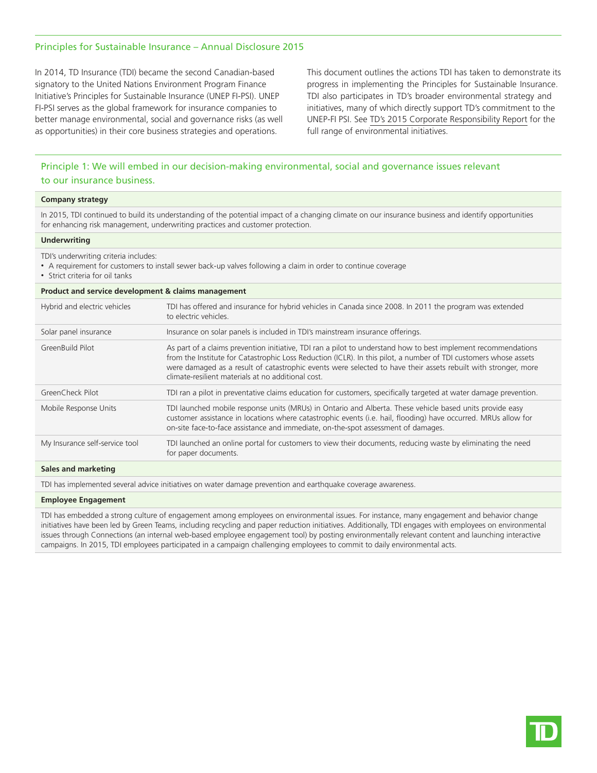### Principles for Sustainable Insurance – Annual Disclosure 2015

In 2014, TD Insurance (TDI) became the second Canadian-based signatory to the United Nations Environment Program Finance Initiative's Principles for Sustainable Insurance (UNEP FI-PSI). UNEP FI-PSI serves as the global framework for insurance companies to better manage environmental, social and governance risks (as well as opportunities) in their core business strategies and operations.

This document outlines the actions TDI has taken to demonstrate its progress in implementing the Principles for Sustainable Insurance. TDI also participates in TD's broader environmental strategy and initiatives, many of which directly support TD's commitment to the UNEP-FI PSI. See [TD's 2015 Corporate Responsibility Report](https://www.td.com/document/PDF/corporateresponsibility/2015-Final-CRR_EN.pdf) for the full range of environmental initiatives.

# Principle 1: We will embed in our decision-making environmental, social and governance issues relevant to our insurance business.

| <b>Company strategy</b>                                                                                                                                                                                                                |                                                                                                                                                                                                                                                                                                                                                                                                            |  |
|----------------------------------------------------------------------------------------------------------------------------------------------------------------------------------------------------------------------------------------|------------------------------------------------------------------------------------------------------------------------------------------------------------------------------------------------------------------------------------------------------------------------------------------------------------------------------------------------------------------------------------------------------------|--|
| In 2015, TDI continued to build its understanding of the potential impact of a changing climate on our insurance business and identify opportunities<br>for enhancing risk management, underwriting practices and customer protection. |                                                                                                                                                                                                                                                                                                                                                                                                            |  |
| <b>Underwriting</b>                                                                                                                                                                                                                    |                                                                                                                                                                                                                                                                                                                                                                                                            |  |
| TDI's underwriting criteria includes:<br>• A requirement for customers to install sewer back-up valves following a claim in order to continue coverage<br>• Strict criteria for oil tanks                                              |                                                                                                                                                                                                                                                                                                                                                                                                            |  |
| Product and service development & claims management                                                                                                                                                                                    |                                                                                                                                                                                                                                                                                                                                                                                                            |  |
| Hybrid and electric vehicles                                                                                                                                                                                                           | TDI has offered and insurance for hybrid vehicles in Canada since 2008. In 2011 the program was extended<br>to electric vehicles.                                                                                                                                                                                                                                                                          |  |
| Solar panel insurance                                                                                                                                                                                                                  | Insurance on solar panels is included in TDI's mainstream insurance offerings.                                                                                                                                                                                                                                                                                                                             |  |
| GreenBuild Pilot                                                                                                                                                                                                                       | As part of a claims prevention initiative, TDI ran a pilot to understand how to best implement recommendations<br>from the Institute for Catastrophic Loss Reduction (ICLR). In this pilot, a number of TDI customers whose assets<br>were damaged as a result of catastrophic events were selected to have their assets rebuilt with stronger, more<br>climate-resilient materials at no additional cost. |  |
| GreenCheck Pilot                                                                                                                                                                                                                       | TDI ran a pilot in preventative claims education for customers, specifically targeted at water damage prevention.                                                                                                                                                                                                                                                                                          |  |
| Mobile Response Units                                                                                                                                                                                                                  | TDI launched mobile response units (MRUs) in Ontario and Alberta. These vehicle based units provide easy<br>customer assistance in locations where catastrophic events (i.e. hail, flooding) have occurred. MRUs allow for<br>on-site face-to-face assistance and immediate, on-the-spot assessment of damages.                                                                                            |  |
| My Insurance self-service tool                                                                                                                                                                                                         | TDI launched an online portal for customers to view their documents, reducing waste by eliminating the need<br>for paper documents.                                                                                                                                                                                                                                                                        |  |
| Sales and marketing                                                                                                                                                                                                                    |                                                                                                                                                                                                                                                                                                                                                                                                            |  |
| TDI has implemented several advice initiatives on water damage prevention and earthquake coverage awareness.                                                                                                                           |                                                                                                                                                                                                                                                                                                                                                                                                            |  |
|                                                                                                                                                                                                                                        |                                                                                                                                                                                                                                                                                                                                                                                                            |  |

#### **Employee Engagement**

TDI has embedded a strong culture of engagement among employees on environmental issues. For instance, many engagement and behavior change initiatives have been led by Green Teams, including recycling and paper reduction initiatives. Additionally, TDI engages with employees on environmental issues through Connections (an internal web-based employee engagement tool) by posting environmentally relevant content and launching interactive campaigns. In 2015, TDI employees participated in a campaign challenging employees to commit to daily environmental acts.